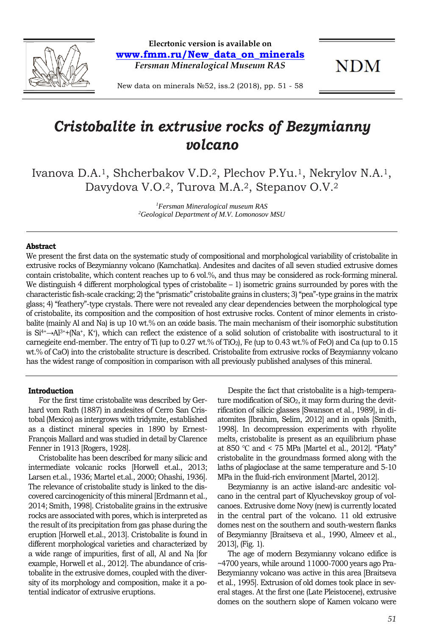

**Elecrtonic version is available on www.fmm.ru/New\_data\_on\_minerals** *Fersman Mineralogical Museum RAS*

**NDM** 

New data on minerals №52, iss.2 (2018), pp. 51 - 58

# *Cristobalite in extrusive rocks of Bezymianny volcano*

Ivanova D.A.1, Shcherbakov V.D.2, Plechov P.Yu.1, Nekrylov N.A.1, Davydova V.O.2, Turova M.A.2, Stepanov O.V.2

> *1 Fersman Mineralogical museum RAS 2 Geological Department of M.V. Lomonosov MSU*

#### **Abstract**

We present the first data on the systematic study of compositional and morphological variability of cristobalite in extrusive rocks of Bezymianny volcano (Kamchatka). Andesites and dacites of all seven studied extrusive domes contain cristobalite, which content reaches up to 6 vol.%, and thus may be considered as rock-forming mineral. We distinguish 4 different morphological types of cristobalite – 1) isometric grains surrounded by pores with the characteristic fish-scale cracking; 2) the "prismatic" cristobalite grains in clusters; 3) "pea"-type grains in the matrix glass; 4) "feathery"-type crystals. There were not revealed any clear dependencies between the morphological type of cristobalite, its composition and the composition of host extrusive rocks. Content of minor elements in cristobalite (mainly Al and Na) is up 10 wt.% on an oxide basis. The main mechanism of their isomorphic substitution is  $Si^{4+}\rightarrow Al^{3+}+[Na^+, K^+]$ , which can reflect the existence of a solid solution of cristobalite with isostructural to it carnegieite end-member. The entry of Ti (up to 0.27 wt.% of TiO2), Fe (up to 0.43 wt.% of FeO) and Ca (up to 0.15 wt.% of CaO) into the cristobalite structure is described. Cristobalite from extrusive rocks of Bezymianny volcano has the widest range of composition in comparison with all previously published analyses of this mineral.

# **Introduction**

For the first time cristobalite was described by Gerhard vom Rath (1887) in andesites of Cerro San Cristobal (Mexico) as intergrows with tridymite, established as a distinct mineral species in 1890 by Ernest-François Mallard and was studied in detail by Clarence Fenner in 1913 [Rogers, 1928].

Cristobalite has been described for many silicic and intermediate volcanic rocks [Horwell et.al., 2013; Larsen et.al., 1936; Martel et.al., 2000; Ohashi, 1936]. The relevance of cristobalite study is linked to the discovered carcinogenicity of this mineral [Erdmann et al., 2014; Smith, 1998]. Cristobalite grains in the extrusive rocks are associated with pores, which is interpreted as the result of its precipitation from gas phase during the eruption [Horwell et.al., 2013]. Cristobalite is found in different morphological varieties and characterized by a wide range of impurities, first of all, Al and Na [for example, Horwell et al., 2012]. The abundance of cristobalite in the extrusive domes, coupled with the diversity of its morphology and composition, make it a potential indicator of extrusive eruptions.

Despite the fact that cristobalite is a high-temperature modification of SiO2, it may form during the devitrification of silicic glasses [Swanson et al., 1989], in diatomites [Ibrahim, Selim, 2012] and in opals [Smith, 1998]. In decompression experiments with rhyolite melts, cristobalite is present as an equilibrium phase at 850 ℃ and < 75 MPa [Martel et al., 2012]. "Platy" cristobalite in the groundmass formed along with the laths of plagioclase at the same temperature and 5-10 MPa in the fluid-rich environment [Martel, 2012].

Bezymianny is an active island-arc andesitic volcano in the central part of Klyuchevskoy group of volcanoes. Extrusive dome Novy (new) is currently located in the central part of the volcano. 11 old extrusive domes nest on the southern and south-western flanks of Bezymianny [Braitseva et al., 1990, Almeev et al., 2013], (Fig. 1).

The age of modern Bezymianny volcano edifice is ~4700 years, while around 11000-7000 years ago Pra-Bezymianny volcano was active in this area [Braitseva et al., 1995]. Extrusion of old domes took place in several stages. At the first one (Late Pleistocene), extrusive domes on the southern slope of Kamen volcano were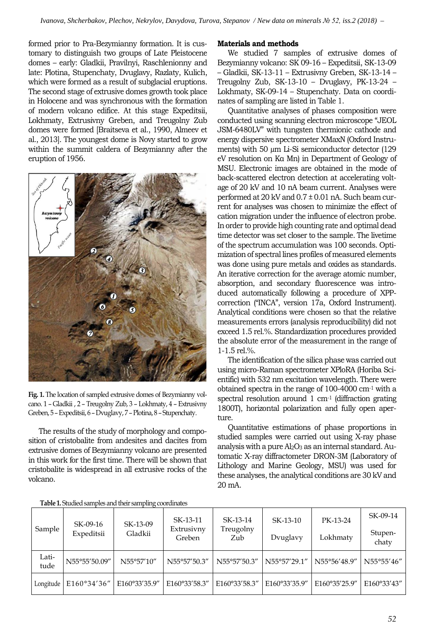formed prior to Pra-Bezymianny formation. It is customary to distinguish two groups of Late Pleistocene domes – early: Gladkii, Pravilnyi, Raschlenionny and late: Plotina, Stupenchaty, Dvuglavy, Razlaty, Kulich, which were formed as a result of subglacial eruptions. The second stage of extrusive domes growth took place in Holocene and was synchronous with the formation of modern volcano edifice. At this stage Expeditsii, Lokhmaty, Extrusivny Greben, and Treugolny Zub domes were formed [Braitseva et al., 1990, Almeev et al., 2013]. The youngest dome is Novy started to grow within the summit caldera of Bezymianny after the eruption of 1956.



**Fig. 1.** The location of sampled extrusive domes of Bezymianny volcano. 1 – Gladkii , 2 – Treugolny Zub, 3 – Lokhmaty, 4 – Extrusivny Greben, 5 –Expeditsii, 6 –Dvuglavy, 7 –Plotina, 8 – Stupenchaty.

The results of the study of morphology and composition of cristobalite from andesites and dacites from extrusive domes of Bezymianny volcano are presented in this work for the first time. There will be shown that cristobalite is widespread in all extrusive rocks of the volcano.

# **Materials and methods**

We studied 7 samples of extrusive domes of Bezymianny volcano: SK 09-16 – Expeditsii, SK-13-09 – Gladkii, SK-13-11 – Extrusivny Greben, SK-13-14 – Treugolny Zub, SK-13-10 – Dvuglavy, PK-13-24 – Lokhmaty, SK-09-14 – Stupenchaty. Data on coordinates of sampling are listed in Table 1.

Quantitative analyses of phases composition were conducted using scanning electron microscope "JEOL JSM-6480LV" with tungsten thermionic cathode and energy dispersive spectrometer XMaxN (Oxford Instruments) with 50 µm Li-Si semiconductor detector (129 eV resolution on Kα Mn) in Department of Geology of MSU. Electronic images are obtained in the mode of back-scattered electron detection at accelerating voltage of 20 kV and 10 nA beam current. Analyses were performed at  $20 \text{ kV}$  and  $0.7 \pm 0.01$  nA. Such beam current for analyses was chosen to minimize the effect of cation migration under the influence of electron probe. In order to provide high counting rate and optimal dead time detector was set closer to the sample. The livetime of the spectrum accumulation was 100 seconds. Optimization of spectral lines profiles of measured elements was done using pure metals and oxides as standards. An iterative correction for the average atomic number, absorption, and secondary fluorescence was introduced automatically following a procedure of XPPcorrection ("INCA", version 17a, Oxford Instrument). Analytical conditions were chosen so that the relative measurements errors (analysis reproducibility) did not exceed 1.5 rel.%. Standardization procedures provided the absolute error of the measurement in the range of 1-1.5 rel.%.

The identification of the silica phase was carried out using micro-Raman spectrometer XPloRA (Horiba Scientific) with 532 nm excitation wavelength. There were obtained spectra in the range of 100-4000 cm-<sup>1</sup> with a spectral resolution around 1 cm<sup>-1</sup> (diffraction grating 1800T), horizontal polarization and fully open aperture.

Quantitative estimations of phase proportions in studied samples were carried out using X-ray phase analysis with a pure  $Al_2O_3$  as an internal standard. Automatic X-ray diffractometer DRON-3M (Laboratory of Lithology and Marine Geology, MSU) was used for these analyses, the analytical conditions are 30 kV and 20 mA.

| Sample        | SK-09-16<br>Expeditsii | SK-13-09<br>Gladkii | SK-13-11<br>Extrusivny<br>Greben | SK-13-14<br>Treugolny<br>Zub | SK-13-10<br>Dvuglavy | PK-13-24<br>Lokhmatv | SK-09-14<br>Stupen-<br>chaty |
|---------------|------------------------|---------------------|----------------------------------|------------------------------|----------------------|----------------------|------------------------------|
| Lati-<br>tude | N55°55'50.09"          | N55°57'10"          | N55°57'50.3"                     | N55°57'50.3"                 | N55°57'29.1"         | N55°56'48.9"         | N55°55'46"                   |
| Longitude     | E160°34'36"            | E160°33'35.9"       | E160°33'58.3"                    | E160°33'58.3"                | E160°33'35.9"        | E160°35'25.9"        | E160°33'43"                  |

**Table 1.** Studied samples and their sampling coordinates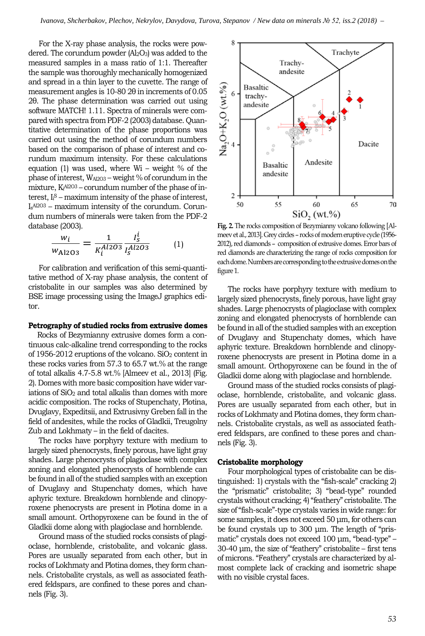For the X-ray phase analysis, the rocks were powdered. The corundum powder  $(AI<sub>2</sub>O<sub>3</sub>)$  was added to the measured samples in a mass ratio of 1:1. Thereafter the sample was thoroughly mechanically homogenized and spread in a thin layer to the cuvette. The range of measurement angles is 10-80 2θ in increments of 0.05 2θ. The phase determination was carried out using software MATCH! 1.11. Spectra of minerals were compared with spectra from PDF-2 (2003) database. Quantitative determination of the phase proportions was carried out using the method of corundum numbers based on the comparison of phase of interest and corundum maximum intensity. For these calculations equation (1) was used, where  $Wi - weight$  % of the phase of interest, WAl2O3 – weight % of corundum in the  $m$ ixture, K $A^{A2O3}$  – corundum number of the phase of interest, I<sup>i</sup> <sup>S</sup> – maximum intensity of the phase of interest, IsAl2O3 – maximum intensity of the corundum. Corundum numbers of minerals were taken from the PDF-2 database (2003).

$$
\frac{w_i}{w_{\text{Al2O3}}} = \frac{1}{K_i^{Al2O3}} \frac{I_S^l}{I_S^{Al2O3}} \tag{1}
$$

For calibration and verification of this semi-quantitative method of X-ray phase analysis, the content of cristobalite in our samples was also determined by BSE image processing using the ImageJ graphics editor.

#### **Petrography of studied rocks from extrusive domes**

Rocks of Bezymianny extrusive domes form a continuous calc-alkaline trend corresponding to the rocks of 1956-2012 eruptions of the volcano. SiO2 content in these rocks varies from 57.3 to 65.7 wt.% at the range of total alkalis 4.7-5.8 wt.% [Almeev et al., 2013] (Fig. 2). Domes with more basic composition have wider variations of SiO<sub>2</sub> and total alkalis than domes with more acidic composition. The rocks of Stupenchaty, Plotina, Dvuglavy, Expeditsii, and Extrusivny Greben fall in the field of andesites, while the rocks of Gladkii, Treugolny Zub and Lokhmaty – in the field of dacites.

The rocks have porphyry texture with medium to largely sized phenocrysts, finely porous, have light gray shades. Large phenocrysts of plagioclase with complex zoning and elongated phenocrysts of hornblende can be found in all of the studied samples with an exception of Dvuglavy and Stupenchaty domes, which have aphyric texture. Breakdown hornblende and clinopyroxene phenocrysts are present in Plotina dome in a small amount. Orthopyroxene can be found in the of Gladkii dome along with plagioclase and hornblende.

Ground mass of the studied rocks consists of plagioclase, hornblende, cristobalite, and volcanic glass. Pores are usually separated from each other, but in rocks of Lokhmaty and Plotina domes, they form channels. Cristobalite crystals, as well as associated feathered feldspars, are confined to these pores and channels (Fig. 3).



**Fig. 2.** The rocks composition of Bezymianny volcano following [Almeev et al., 2013]. Grey circles – rocks of modern eruptive cycle (1956- 2012), red diamonds – composition of extrusive domes. Error bars of red diamonds are characterizing the range of rocks composition for each dome. Numbers are corresponding to the extrusive domes on the figure 1.

The rocks have porphyry texture with medium to largely sized phenocrysts, finely porous, have light gray shades. Large phenocrysts of plagioclase with complex zoning and elongated phenocrysts of hornblende can be found in all of the studied samples with an exception of Dvuglavy and Stupenchaty domes, which have aphyric texture. Breakdown hornblende and clinopyroxene phenocrysts are present in Plotina dome in a small amount. Orthopyroxene can be found in the of Gladkii dome along with plagioclase and hornblende.

Ground mass of the studied rocks consists of plagioclase, hornblende, cristobalite, and volcanic glass. Pores are usually separated from each other, but in rocks of Lokhmaty and Plotina domes, they form channels. Cristobalite crystals, as well as associated feathered feldspars, are confined to these pores and channels (Fig. 3).

#### **Cristobalite morphology**

Four morphological types of cristobalite can be distinguished: 1) crystals with the "fish-scale" cracking 2) the "prismatic" cristobalite; 3) "bead-type" rounded crystals without cracking; 4) "feathery" cristobalite. The size of "fish-scale"-type crystals varies in wide range: for some samples, it does not exceed 50 μm, for others can be found crystals up to 300 μm. The length of "prismatic" crystals does not exceed 100 μm, "bead-type" – 30-40 μm, the size of "feathery" cristobalite – first tens of microns. "Feathery" crystals are characterized by almost complete lack of cracking and isometric shape with no visible crystal faces.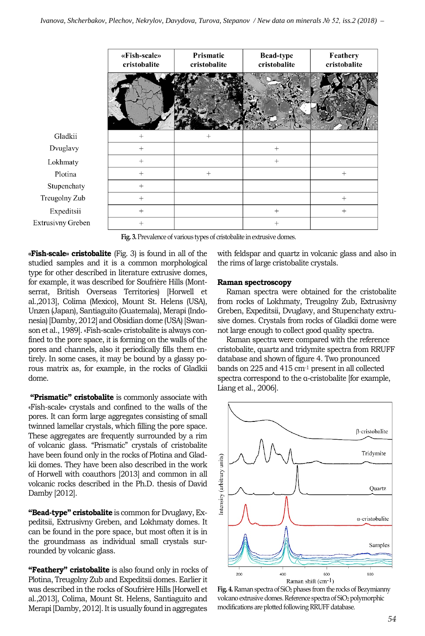

**Fig. 3.** Prevalence of various types of cristobalite in extrusive domes.

**«Fish-scale» cristobalite** (Fig. 3) is found in all of the studied samples and it is a common morphological type for other described in literature extrusive domes, for example, it was described for Soufrière Hills (Montserrat, British Overseas Territories) [Horwell et al.,2013], Colima (Mexico), Mount St. Helens (USA), Unzen (Japan), Santiaguito (Guatemala), Merapi (Indonesia) [Damby, 2012] and Obsidian dome (USA) [Swanson et al., 1989]. «Fish-scale» cristobalite is always confined to the pore space, it is forming on the walls of the pores and channels, also it periodically fills them entirely. In some cases, it may be bound by a glassy porous matrix as, for example, in the rocks of Gladkii dome.

**"Prismatic" cristobalite** is commonly associate with «Fish-scale» crystals and confined to the walls of the pores. It can form large aggregates consisting of small twinned lamellar crystals, which filling the pore space. These aggregates are frequently surrounded by a rim of volcanic glass. "Prismatic" crystals of cristobalite have been found only in the rocks of Plotina and Gladkii domes. They have been also described in the work of Horwell with coauthors [2013] and common in all volcanic rocks described in the Ph.D. thesis of David Damby [2012].

**"Bead-type" cristobalite** is common for Dvuglavy, Expeditsii, Extrusivny Greben, and Lokhmaty domes. It can be found in the pore space, but most often it is in the groundmass as individual small crystals surrounded by volcanic glass.

**"Feathery" cristobalite** is also found only in rocks of Plotina, Treugolny Zub and Expeditsii domes. Earlier it was described in the rocks of Soufrière Hills [Horwell et al.,2013], Colima, Mount St. Helens, Santiaguito and Merapi [Damby, 2012]. It is usually found in aggregates

with feldspar and quartz in volcanic glass and also in the rims of large cristobalite crystals.

## **Raman spectroscopy**

Raman spectra were obtained for the cristobalite from rocks of Lokhmaty, Treugolny Zub, Extrusivny Greben, Expeditsii, Dvuglavy, and Stupenchaty extrusive domes. Crystals from rocks of Gladkii dome were not large enough to collect good quality spectra.

Raman spectra were compared with the reference cristobalite, quartz and tridymite spectra from RRUFF database and shown of figure 4. Two pronounced bands on 225 and 415 cm-<sup>1</sup> present in all collected spectra correspond to the α-cristobalite [for example, Liang et al., 2006].



Fig. 4. Raman spectra of SiO<sub>2</sub> phases from the rocks of Bezymianny volcano extrusive domes. Reference spectra of SiO<sub>2</sub> polymorphic modifications are plotted following RRUFF database.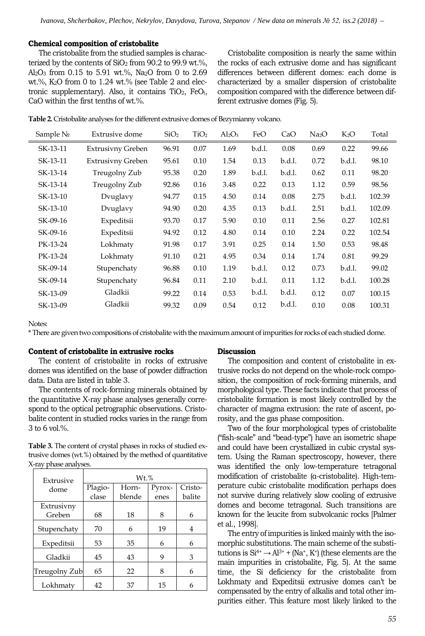### **Chemical composition of cristobalite**

The cristobalite from the studied samples is characterized by the contents of  $SiO<sub>2</sub>$  from 90.2 to 99.9 wt.%, Al<sub>2</sub>O<sub>3</sub> from 0.15 to 5.91 wt.%, Na<sub>2</sub>O from 0 to 2.69 wt.%, K2O from 0 to 1.24 wt.% (see Table 2 and electronic supplementary). Also, it contains  $TiO<sub>2</sub>$ ,  $FeO<sub>t</sub>$ , CaO within the first tenths of wt.%.

Cristobalite composition is nearly the same within the rocks of each extrusive dome and has significant differences between different domes: each dome is characterized by a smaller dispersion of cristobalite composition compared with the difference between different extrusive domes (Fig. 5).

| <b>Table 2.</b> Cristobalite analyses for the different extrusive domes of Bezymianny volcano. |  |
|------------------------------------------------------------------------------------------------|--|
|------------------------------------------------------------------------------------------------|--|

| Sample No | Extrusive dome           | SiO <sub>2</sub> | TiO <sub>2</sub> | $Al_2O_3$ | FeO    | CaO    | Na <sub>2</sub> O | $K_2O$ | Total  |
|-----------|--------------------------|------------------|------------------|-----------|--------|--------|-------------------|--------|--------|
| SK-13-11  | <b>Extrusivny Greben</b> | 96.91            | 0.07             | 1.69      | b.d.l. | 0.08   | 0.69              | 0.22   | 99.66  |
| SK-13-11  | Extrusivny Greben        | 95.61            | 0.10             | 1.54      | 0.13   | b.d.l. | 0.72              | b.d.l. | 98.10  |
| SK-13-14  | Treugolny Zub            | 95.38            | 0.20             | 1.89      | b.d.l. | b.d.l. | 0.62              | 0.11   | 98.20  |
| SK-13-14  | Treugolny Zub            | 92.86            | 0.16             | 3.48      | 0.22   | 0.13   | 1.12              | 0.59   | 98.56  |
| SK-13-10  | Dvuglavy                 | 94.77            | 0.15             | 4.50      | 0.14   | 0.08   | 2.75              | b.d.l. | 102.39 |
| SK-13-10  | Dvuglavy                 | 94.90            | 0.20             | 4.35      | 0.13   | b.d.l. | 2.51              | b.d.l. | 102.09 |
| SK-09-16  | Expeditsii               | 93.70            | 0.17             | 5.90      | 0.10   | 0.11   | 2.56              | 0.27   | 102.81 |
| SK-09-16  | Expeditsii               | 94.92            | 0.12             | 4.80      | 0.14   | 0.10   | 2.24              | 0.22   | 102.54 |
| PK-13-24  | Lokhmaty                 | 91.98            | 0.17             | 3.91      | 0.25   | 0.14   | 1.50              | 0.53   | 98.48  |
| PK-13-24  | Lokhmaty                 | 91.10            | 0.21             | 4.95      | 0.34   | 0.14   | 1.74              | 0.81   | 99.29  |
| SK-09-14  | Stupenchaty              | 96.88            | 0.10             | 1.19      | b.d.l. | 0.12   | 0.73              | b.d.l. | 99.02  |
| SK-09-14  | Stupenchaty              | 96.84            | 0.11             | 2.10      | b.d.l. | 0.11   | 1.12              | b.d.l. | 100.28 |
| SK-13-09  | Gladkii                  | 99.22            | 0.14             | 0.53      | b.d.l. | b.d.l. | 0.12              | 0.07   | 100.15 |
| SK-13-09  | Gladkii                  | 99.32            | 0.09             | 0.54      | 0.12   | b.d.l. | 0.10              | 0.08   | 100.31 |
|           |                          |                  |                  |           |        |        |                   |        |        |

Notes:

\* There are given two compositions of cristobalite with the maximum amount of impurities for rocks of each studied dome.

### **Content of cristobalite in extrusive rocks**

The content of cristobalite in rocks of extrusive domes was identified on the base of powder diffraction data. Data are listed in table 3.

The contents of rock-forming minerals obtained by the quantitative X-ray phase analyses generally correspond to the optical petrographic observations. Cristobalite content in studied rocks varies in the range from 3 to 6 vol.%.

**Table 3.** The content of crystal phases in rocks of studied extrusive domes (wt.%) obtained by the method of quantitative X-ray phase analyses.

| Extrusive     | $Wt.$ %          |    |        |         |  |  |  |
|---------------|------------------|----|--------|---------|--|--|--|
| dome          | Plagio-<br>Horn- |    | Pyrox- | Cristo- |  |  |  |
|               | clase<br>blende  |    | enes   | balite  |  |  |  |
| Extrusivny    |                  |    |        |         |  |  |  |
| Greben        | 68               | 18 | 8      | 6       |  |  |  |
| Stupenchaty   | 70               | 6  | 19     | 4       |  |  |  |
| Expeditsii    | 53               | 35 | 6      | 6       |  |  |  |
| Gladkii       | 45               | 43 | 9      | 3       |  |  |  |
| Treugolny Zub | 65               | 22 | 8      | 6       |  |  |  |
| Lokhmatv      | 42               | 37 | 15     | 6       |  |  |  |

#### **Discussion**

The composition and content of cristobalite in extrusive rocks do not depend on the whole-rock composition, the composition of rock-forming minerals, and morphological type. These facts indicate that process of cristobalite formation is most likely controlled by the character of magma extrusion: the rate of ascent, porosity, and the gas phase composition.

Two of the four morphological types of cristobalite ("fish-scale" and "bead-type") have an isometric shape and could have been crystallized in cubic crystal system. Using the Raman spectroscopy, however, there was identified the only low-temperature tetragonal modification of cristobalite (α-cristobalite). High-temperature cubic cristobalite modification perhaps does not survive during relatively slow cooling of extrusive domes and become tetragonal. Such transitions are known for the leucite from subvolcanic rocks [Palmer et al., 1998].

The entry of impurities is linked mainly with the isomorphic substitutions. The main scheme of the substitutions is  $Si^{4+} \rightarrow Al^{3+} + (Na^+, K^+)$  (these elements are the main impurities in cristobalite, Fig. 5). At the same time, the Si deficiency for the cristobalite from Lokhmaty and Expeditsii extrusive domes can't be compensated by the entry of alkalis and total other impurities either. This feature most likely linked to the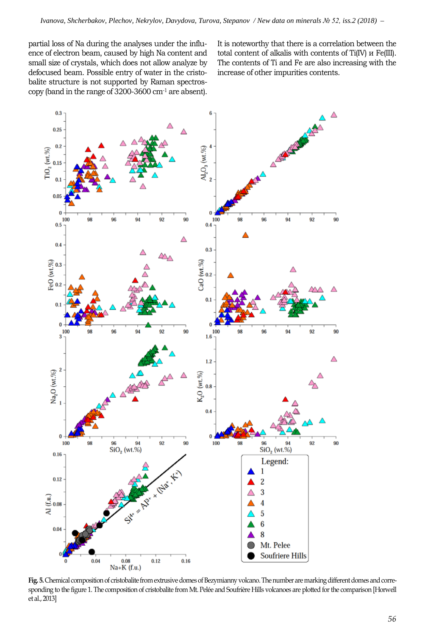partial loss of Na during the analyses under the influence of electron beam, caused by high Na content and small size of crystals, which does not allow analyze by defocused beam. Possible entry of water in the cristobalite structure is not supported by Raman spectroscopy (band in the range of 3200-3600 cm-<sup>1</sup> are absent). It is noteworthy that there is a correlation between the total content of alkalis with contents of Ti(IV) и Fe(III). The contents of Ti and Fe are also increasing with the increase of other impurities contents.



**Fig. 5.**Chemical composition of cristobalite from extrusive domes of Bezymianny volcano. The number are marking different domes and corresponding to the figure 1. The composition of cristobalite from Mt. Pelée and Soufrière Hills volcanoes are plotted for the comparison [Horwell et al., 2013]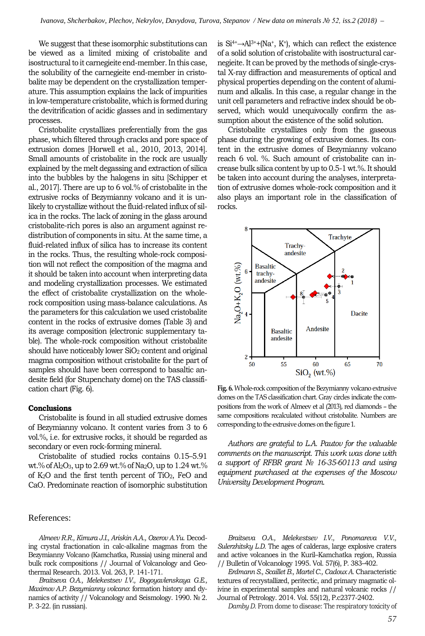We suggest that these isomorphic substitutions can be viewed as a limited mixing of cristobalite and isostructural to it carnegieite end-member. In this case, the solubility of the carnegieite end-member in cristobalite may be dependent on the crystallization temperature. This assumption explains the lack of impurities in low-temperature cristobalite, which is formed during the devitrification of acidic glasses and in sedimentary processes.

Cristobalite crystallizes preferentially from the gas phase, which filtered through cracks and pore space of extrusion domes [Horwell et al., 2010, 2013, 2014]. Small amounts of cristobalite in the rock are usually explained by the melt degassing and extraction of silica into the bubbles by the halogens in situ [Schipper et al., 2017]. There are up to 6 vol.% of cristobalite in the extrusive rocks of Bezymianny volcano and it is unlikely to crystallize without the fluid-related influx of silica in the rocks. The lack of zoning in the glass around cristobalite-rich pores is also an argument against redistribution of components in situ. At the same time, a fluid-related influx of silica has to increase its content in the rocks. Thus, the resulting whole-rock composition will not reflect the composition of the magma and it should be taken into account when interpreting data and modeling crystallization processes. We estimated the effect of cristobalite crystallization on the wholerock composition using mass-balance calculations. As the parameters for this calculation we used cristobalite content in the rocks of extrusive domes (Table 3) and its average composition (electronic supplementary table). The whole-rock composition without cristobalite should have noticeably lower SiO<sub>2</sub> content and original magma composition without cristobalite for the part of samples should have been correspond to basaltic andesite field (for Stupenchaty dome) on the TAS classification chart (Fig. 6).

# **Conclusions**

Cristobalite is found in all studied extrusive domes of Bezymianny volcano. It content varies from 3 to 6 vol.%, i.e. for extrusive rocks, it should be regarded as secondary or even rock-forming mineral.

Cristobalite of studied rocks contains 0.15–5.91 wt.% of Al<sub>2</sub>O<sub>3</sub>, up to 2.69 wt.% of Na<sub>2</sub>O, up to 1.24 wt.% of K2O and the first tenth percent of TiO2, FeO and CaO. Predominate reaction of isomorphic substitution

# References:

*Almeev R.R., Kimura J.I., Ariskin A.A., Ozerov A.Yu*. Decoding crystal fractionation in calc-alkaline magmas from the Bezymianny Volcano (Kamchatka, Russia) using mineral and bulk rock compositions // Journal of Volcanology and Geothermal Research. 2013. Vol. 263, P. 141-171.

*Braitseva O.A., Melekestsev I.V., Bogoyavlenskaya G.E., Maximov A.P. Bezymianny volcano*: formation history and dynamics of activity // Volcanology and Seismology. 1990. № 2. P. 3-22. (in russian).

is  $Si^{4+}\rightarrow Al^{3+}+(Na^+, K^+),$  which can reflect the existence of a solid solution of cristobalite with isostructural carnegieite. It can be proved by the methods of single-crystal X-ray diffraction and measurements of optical and physical properties depending on the content of aluminum and alkalis. In this case, a regular change in the unit cell parameters and refractive index should be observed, which would unequivocally confirm the assumption about the existence of the solid solution.

Cristobalite crystallizes only from the gaseous phase during the growing of extrusive domes. Its content in the extrusive domes of Bezymianny volcano reach 6 vol. %. Such amount of cristobalite can increase bulk silica content by up to 0.5-1 wt.%. It should be taken into account during the analyses, interpretation of extrusive domes whole-rock composition and it also plays an important role in the classification of rocks.



**Fig. 6.** Whole-rock composition of the Bezymianny volcano extrusive domes on the TAS classification chart. Gray circles indicate the compositions from the work of Almeev et al (2013), red diamonds – the same compositions recalculated without cristobalite. Numbers are corresponding to the extrusive domes on the figure 1.

*Authors are grateful to L.A. Pautov for the valuable comments on the manuscript. This work was done with a support of RFBR grant № 16-35-60113 and using equipment purchased at the expenses of the Moscow University Development Program.*

*Braitseva O.A., Melekestsev I.V., Ponomareva V.V., Sulerzhitsky L.D.* The ages of calderas, large explosive craters and active volcanoes in the Kuril–Kamchatka region, Russia // Bulletin of Volcanology 1995. Vol. 57(6), P. 383–402.

*Erdmann S., Scaillet B., Martel C., Cadoux A.* Characteristic textures of recrystallized, peritectic, and primary magmatic olivine in experimental samples and natural volcanic rocks // Journal of Petrology. 2014. Vol. 55(12), P.c2377-2402.

*Damby D.* From dome to disease: The respiratory toxicity of